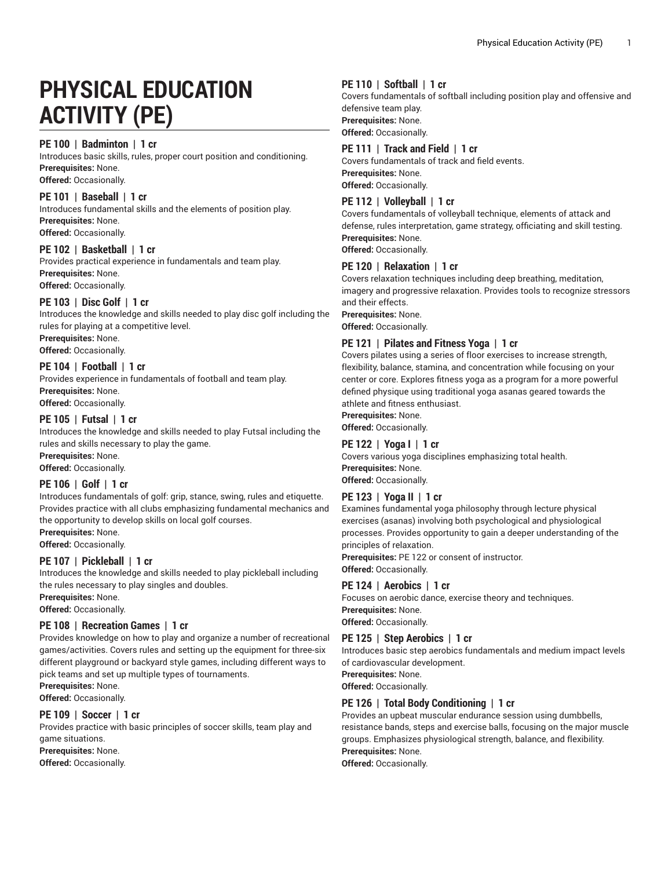# **PHYSICAL EDUCATION ACTIVITY (PE)**

#### **PE 100 | Badminton | 1 cr**

Introduces basic skills, rules, proper court position and conditioning. **Prerequisites:** None.

# **Offered:** Occasionally.

#### **PE 101 | Baseball | 1 cr**

Introduces fundamental skills and the elements of position play. **Prerequisites:** None. **Offered:** Occasionally.

#### **PE 102 | Basketball | 1 cr**

Provides practical experience in fundamentals and team play. **Prerequisites:** None. **Offered:** Occasionally.

# **PE 103 | Disc Golf | 1 cr**

Introduces the knowledge and skills needed to play disc golf including the rules for playing at a competitive level. **Prerequisites:** None.

**Offered:** Occasionally.

# **PE 104 | Football | 1 cr**

Provides experience in fundamentals of football and team play. **Prerequisites:** None. **Offered:** Occasionally.

# **PE 105 | Futsal | 1 cr**

Introduces the knowledge and skills needed to play Futsal including the rules and skills necessary to play the game.

**Prerequisites:** None. **Offered:** Occasionally.

#### **PE 106 | Golf | 1 cr**

Introduces fundamentals of golf: grip, stance, swing, rules and etiquette. Provides practice with all clubs emphasizing fundamental mechanics and the opportunity to develop skills on local golf courses.

**Prerequisites:** None.

**Offered:** Occasionally.

# **PE 107 | Pickleball | 1 cr**

Introduces the knowledge and skills needed to play pickleball including the rules necessary to play singles and doubles.

**Prerequisites:** None.

**Offered:** Occasionally.

#### **PE 108 | Recreation Games | 1 cr**

Provides knowledge on how to play and organize a number of recreational games/activities. Covers rules and setting up the equipment for three-six different playground or backyard style games, including different ways to pick teams and set up multiple types of tournaments.

**Prerequisites:** None.

**Offered:** Occasionally.

#### **PE 109 | Soccer | 1 cr**

Provides practice with basic principles of soccer skills, team play and game situations.

**Prerequisites:** None.

**Offered:** Occasionally.

# **PE 110 | Softball | 1 cr**

Covers fundamentals of softball including position play and offensive and defensive team play. **Prerequisites:** None.

**Offered:** Occasionally.

# **PE 111 | Track and Field | 1 cr**

Covers fundamentals of track and field events. **Prerequisites:** None. **Offered:** Occasionally.

# **PE 112 | Volleyball | 1 cr**

Covers fundamentals of volleyball technique, elements of attack and defense, rules interpretation, game strategy, officiating and skill testing. **Prerequisites:** None.

**Offered:** Occasionally.

#### **PE 120 | Relaxation | 1 cr**

Covers relaxation techniques including deep breathing, meditation, imagery and progressive relaxation. Provides tools to recognize stressors and their effects.

**Prerequisites:** None.

**Offered:** Occasionally.

#### **PE 121 | Pilates and Fitness Yoga | 1 cr**

Covers pilates using a series of floor exercises to increase strength, flexibility, balance, stamina, and concentration while focusing on your center or core. Explores fitness yoga as a program for a more powerful defined physique using traditional yoga asanas geared towards the athlete and fitness enthusiast.

**Prerequisites:** None.

**Offered:** Occasionally.

#### **PE 122 | Yoga I | 1 cr**

Covers various yoga disciplines emphasizing total health. **Prerequisites:** None. **Offered:** Occasionally.

#### **PE 123 | Yoga II | 1 cr**

Examines fundamental yoga philosophy through lecture physical exercises (asanas) involving both psychological and physiological processes. Provides opportunity to gain a deeper understanding of the principles of relaxation.

**Prerequisites:** PE 122 or consent of instructor.

**Offered:** Occasionally.

#### **PE 124 | Aerobics | 1 cr**

Focuses on aerobic dance, exercise theory and techniques. **Prerequisites:** None. **Offered:** Occasionally.

#### **PE 125 | Step Aerobics | 1 cr**

Introduces basic step aerobics fundamentals and medium impact levels of cardiovascular development.

**Prerequisites:** None. **Offered:** Occasionally.

# **PE 126 | Total Body Conditioning | 1 cr**

Provides an upbeat muscular endurance session using dumbbells, resistance bands, steps and exercise balls, focusing on the major muscle groups. Emphasizes physiological strength, balance, and flexibility. **Prerequisites:** None.

**Offered:** Occasionally.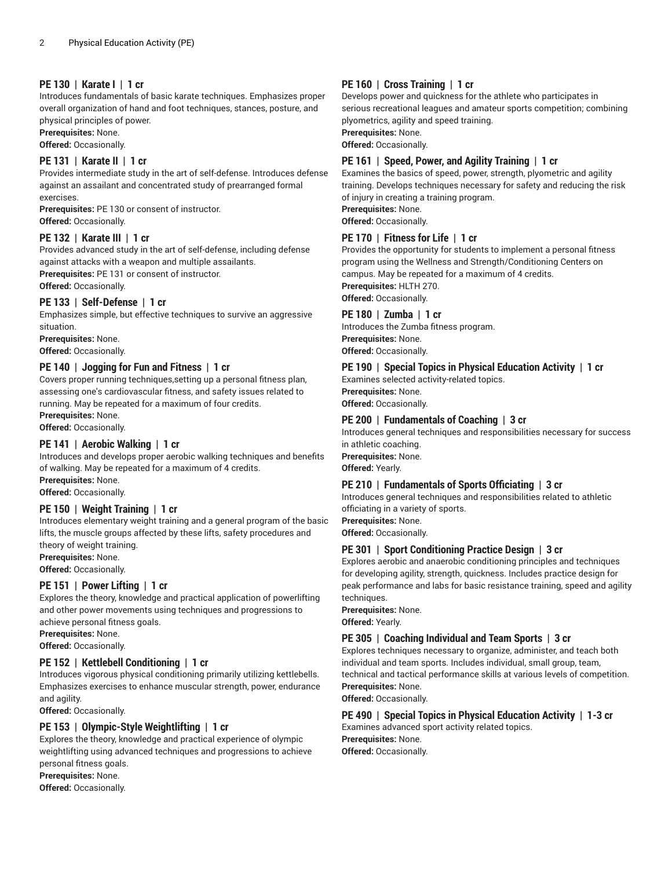# **PE 130 | Karate I | 1 cr**

Introduces fundamentals of basic karate techniques. Emphasizes proper overall organization of hand and foot techniques, stances, posture, and physical principles of power.

**Prerequisites:** None.

**Offered:** Occasionally.

#### **PE 131 | Karate II | 1 cr**

Provides intermediate study in the art of self-defense. Introduces defense against an assailant and concentrated study of prearranged formal exercises.

**Prerequisites:** PE 130 or consent of instructor. **Offered:** Occasionally.

#### **PE 132 | Karate III | 1 cr**

Provides advanced study in the art of self-defense, including defense against attacks with a weapon and multiple assailants. **Prerequisites:** PE 131 or consent of instructor.

**Offered:** Occasionally.

#### **PE 133 | Self-Defense | 1 cr**

Emphasizes simple, but effective techniques to survive an aggressive situation.

**Prerequisites:** None. **Offered:** Occasionally.

#### **PE 140 | Jogging for Fun and Fitness | 1 cr**

Covers proper running techniques,setting up a personal fitness plan, assessing one's cardiovascular fitness, and safety issues related to running. May be repeated for a maximum of four credits.

**Prerequisites:** None.

# **Offered:** Occasionally.

#### **PE 141 | Aerobic Walking | 1 cr**

Introduces and develops proper aerobic walking techniques and benefits of walking. May be repeated for a maximum of 4 credits. **Prerequisites:** None.

**Offered:** Occasionally.

#### **PE 150 | Weight Training | 1 cr**

Introduces elementary weight training and a general program of the basic lifts, the muscle groups affected by these lifts, safety procedures and theory of weight training.

**Prerequisites:** None.

**Offered:** Occasionally.

#### **PE 151 | Power Lifting | 1 cr**

Explores the theory, knowledge and practical application of powerlifting and other power movements using techniques and progressions to achieve personal fitness goals.

**Prerequisites:** None.

**Offered:** Occasionally.

#### **PE 152 | Kettlebell Conditioning | 1 cr**

Introduces vigorous physical conditioning primarily utilizing kettlebells. Emphasizes exercises to enhance muscular strength, power, endurance and agility.

**Offered:** Occasionally.

#### **PE 153 | Olympic-Style Weightlifting | 1 cr**

Explores the theory, knowledge and practical experience of olympic weightlifting using advanced techniques and progressions to achieve personal fitness goals.

**Prerequisites:** None.

**Offered:** Occasionally.

#### **PE 160 | Cross Training | 1 cr**

Develops power and quickness for the athlete who participates in serious recreational leagues and amateur sports competition; combining plyometrics, agility and speed training.

**Prerequisites:** None.

**Offered:** Occasionally.

#### **PE 161 | Speed, Power, and Agility Training | 1 cr**

Examines the basics of speed, power, strength, plyometric and agility training. Develops techniques necessary for safety and reducing the risk of injury in creating a training program. **Prerequisites:** None.

**Offered:** Occasionally.

#### **PE 170 | Fitness for Life | 1 cr**

Provides the opportunity for students to implement a personal fitness program using the Wellness and Strength/Conditioning Centers on campus. May be repeated for a maximum of 4 credits. **Prerequisites:** HLTH 270.

**Offered:** Occasionally.

#### **PE 180 | Zumba | 1 cr**

Introduces the Zumba fitness program. **Prerequisites:** None. **Offered:** Occasionally.

#### **PE 190 | Special Topics in Physical Education Activity | 1 cr**

Examines selected activity-related topics. **Prerequisites:** None. **Offered:** Occasionally.

#### **PE 200 | Fundamentals of Coaching | 3 cr**

Introduces general techniques and responsibilities necessary for success in athletic coaching. **Prerequisites:** None. **Offered:** Yearly.

#### **PE 210 | Fundamentals of Sports Officiating | 3 cr**

Introduces general techniques and responsibilities related to athletic officiating in a variety of sports.

**Prerequisites:** None.

**Offered:** Occasionally.

#### **PE 301 | Sport Conditioning Practice Design | 3 cr**

Explores aerobic and anaerobic conditioning principles and techniques for developing agility, strength, quickness. Includes practice design for peak performance and labs for basic resistance training, speed and agility techniques.

**Prerequisites:** None.

**Offered:** Yearly.

#### **PE 305 | Coaching Individual and Team Sports | 3 cr**

Explores techniques necessary to organize, administer, and teach both individual and team sports. Includes individual, small group, team, technical and tactical performance skills at various levels of competition. **Prerequisites:** None.

**Offered:** Occasionally.

# **PE 490 | Special Topics in Physical Education Activity | 1-3 cr**

Examines advanced sport activity related topics. **Prerequisites:** None.

**Offered:** Occasionally.